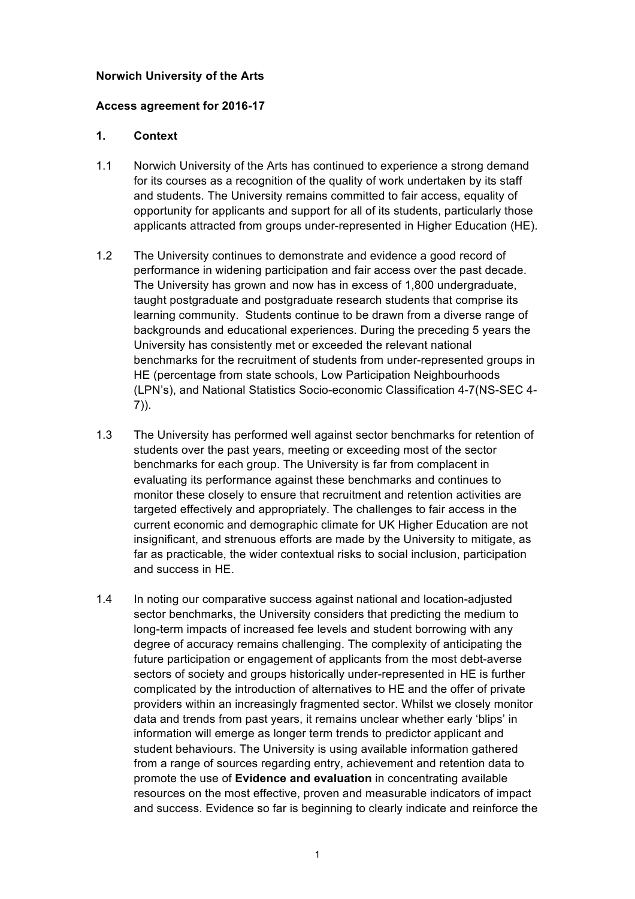#### **Norwich University of the Arts**

#### **Access agreement for 2016-17**

# **1. Context**

- 1.1 Norwich University of the Arts has continued to experience a strong demand for its courses as a recognition of the quality of work undertaken by its staff and students. The University remains committed to fair access, equality of opportunity for applicants and support for all of its students, particularly those applicants attracted from groups under-represented in Higher Education (HE).
- 1.2 The University continues to demonstrate and evidence a good record of performance in widening participation and fair access over the past decade. The University has grown and now has in excess of 1,800 undergraduate, learning community. Students continue to be drawn from a diverse range of University has consistently met or exceeded the relevant national benchmarks for the recruitment of students from under-represented groups in HE (percentage from state schools, Low Participation Neighbourhoods taught postgraduate and postgraduate research students that comprise its backgrounds and educational experiences. During the preceding 5 years the (LPN's), and National Statistics Socio-economic Classification 4-7(NS-SEC 4- 7)).
- 1.3 The University has performed well against sector benchmarks for retention of students over the past years, meeting or exceeding most of the sector benchmarks for each group. The University is far from complacent in evaluating its performance against these benchmarks and continues to monitor these closely to ensure that recruitment and retention activities are targeted effectively and appropriately. The challenges to fair access in the insignificant, and strenuous efforts are made by the University to mitigate, as current economic and demographic climate for UK Higher Education are not far as practicable, the wider contextual risks to social inclusion, participation and success in HE.
- sector benchmarks, the University considers that predicting the medium to long-term impacts of increased fee levels and student borrowing with any degree of accuracy remains challenging. The complexity of anticipating the sectors of society and groups historically under-represented in HE is further complicated by the introduction of alternatives to HE and the offer of private data and trends from past years, it remains unclear whether early 'blips' in information will emerge as longer term trends to predictor applicant and student behaviours. The University is using available information gathered  promote the use of **Evidence and evaluation** in concentrating available resources on the most effective, proven and measurable indicators of impact and success. Evidence so far is beginning to clearly indicate and reinforce the 1.4 In noting our comparative success against national and location-adjusted future participation or engagement of applicants from the most debt-averse providers within an increasingly fragmented sector. Whilst we closely monitor from a range of sources regarding entry, achievement and retention data to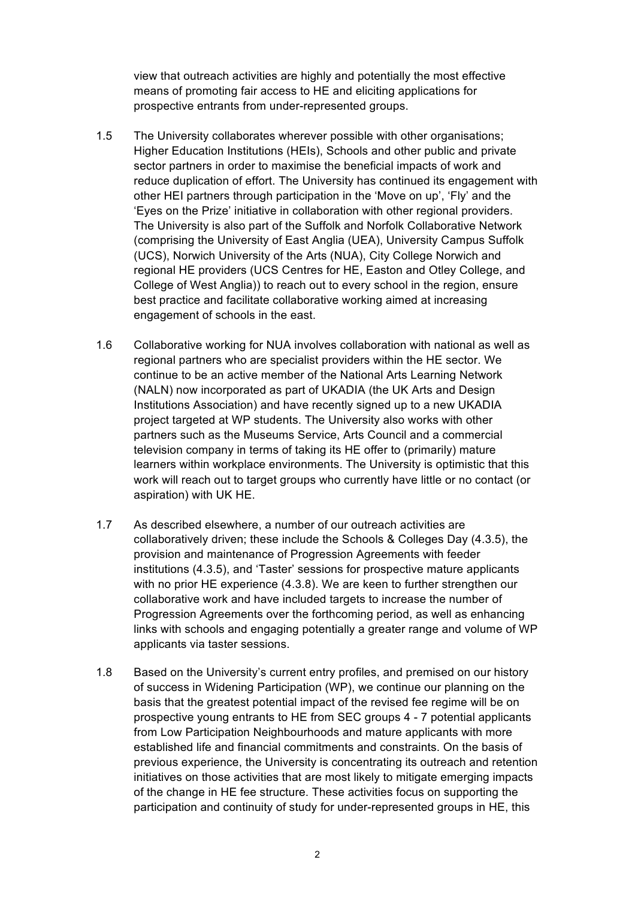view that outreach activities are highly and potentially the most effective means of promoting fair access to HE and eliciting applications for prospective entrants from under-represented groups.

- 1.5 The University collaborates wherever possible with other organisations; sector partners in order to maximise the beneficial impacts of work and reduce duplication of effort. The University has continued its engagement with other HEI partners through participation in the 'Move on up', 'Fly' and the 'Eyes on the Prize' initiative in collaboration with other regional providers. The University is also part of the Suffolk and Norfolk Collaborative Network (UCS), Norwich University of the Arts (NUA), City College Norwich and regional HE providers (UCS Centres for HE, Easton and Otley College, and College of West Anglia)) to reach out to every school in the region, ensure engagement of schools in the east. Higher Education Institutions (HEIs), Schools and other public and private (comprising the University of East Anglia (UEA), University Campus Suffolk best practice and facilitate collaborative working aimed at increasing
- 1.6 Collaborative working for NUA involves collaboration with national as well as regional partners who are specialist providers within the HE sector. We continue to be an active member of the National Arts Learning Network (NALN) now incorporated as part of UKADIA (the UK Arts and Design Institutions Association) and have recently signed up to a new UKADIA project targeted at WP students. The University also works with other television company in terms of taking its HE offer to (primarily) mature learners within workplace environments. The University is optimistic that this work will reach out to target groups who currently have little or no contact (or aspiration) with UK HE. partners such as the Museums Service, Arts Council and a commercial
- 1.7 As described elsewhere, a number of our outreach activities are collaboratively driven; these include the Schools & Colleges Day (4.3.5), the provision and maintenance of Progression Agreements with feeder institutions (4.3.5), and 'Taster' sessions for prospective mature applicants with no prior HE experience (4.3.8). We are keen to further strengthen our collaborative work and have included targets to increase the number of Progression Agreements over the forthcoming period, as well as enhancing links with schools and engaging potentially a greater range and volume of WP applicants via taster sessions.
- 1.8 Based on the University's current entry profiles, and premised on our history of success in Widening Participation (WP), we continue our planning on the basis that the greatest potential impact of the revised fee regime will be on prospective young entrants to HE from SEC groups 4 - 7 potential applicants from Low Participation Neighbourhoods and mature applicants with more established life and financial commitments and constraints. On the basis of previous experience, the University is concentrating its outreach and retention of the change in HE fee structure. These activities focus on supporting the participation and continuity of study for under-represented groups in HE, this initiatives on those activities that are most likely to mitigate emerging impacts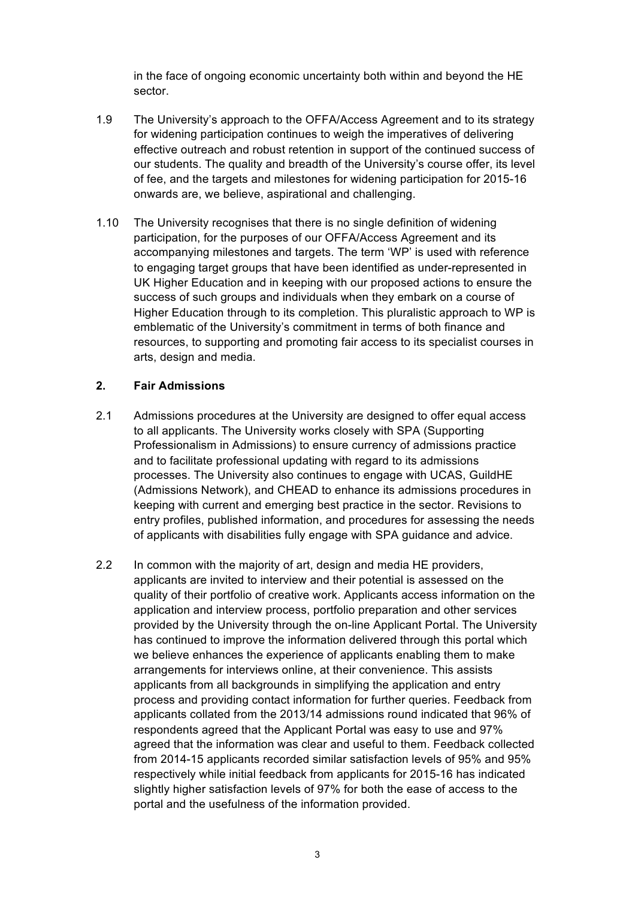in the face of ongoing economic uncertainty both within and beyond the HE sector.

- 1.9 The University's approach to the OFFA/Access Agreement and to its strategy effective outreach and robust retention in support of the continued success of our students. The quality and breadth of the University's course offer, its level of fee, and the targets and milestones for widening participation for 2015-16 onwards are, we believe, aspirational and challenging. for widening participation continues to weigh the imperatives of delivering
- accompanying milestones and targets. The term 'WP' is used with reference UK Higher Education and in keeping with our proposed actions to ensure the success of such groups and individuals when they embark on a course of Higher Education through to its completion. This pluralistic approach to WP is emblematic of the University's commitment in terms of both finance and resources, to supporting and promoting fair access to its specialist courses in 1.10 The University recognises that there is no single definition of widening participation, for the purposes of our OFFA/Access Agreement and its to engaging target groups that have been identified as under-represented in arts, design and media.

# **2. Fair Admissions**

- 2.1 Admissions procedures at the University are designed to offer equal access to all applicants. The University works closely with SPA (Supporting Professionalism in Admissions) to ensure currency of admissions practice processes. The University also continues to engage with UCAS, GuildHE keeping with current and emerging best practice in the sector. Revisions to entry profiles, published information, and procedures for assessing the needs of applicants with disabilities fully engage with SPA guidance and advice. and to facilitate professional updating with regard to its admissions (Admissions Network), and CHEAD to enhance its admissions procedures in
- applicants are invited to interview and their potential is assessed on the quality of their portfolio of creative work. Applicants access information on the application and interview process, portfolio preparation and other services provided by the University through the on-line Applicant Portal. The University we believe enhances the experience of applicants enabling them to make arrangements for interviews online, at their convenience. This assists applicants from all backgrounds in simplifying the application and entry process and providing contact information for further queries. Feedback from applicants collated from the 2013/14 admissions round indicated that 96% of respondents agreed that the Applicant Portal was easy to use and 97% agreed that the information was clear and useful to them. Feedback collected from 2014-15 applicants recorded similar satisfaction levels of 95% and 95% slightly higher satisfaction levels of 97% for both the ease of access to the portal and the usefulness of the information provided. 2.2 In common with the majority of art, design and media HE providers, has continued to improve the information delivered through this portal which respectively while initial feedback from applicants for 2015-16 has indicated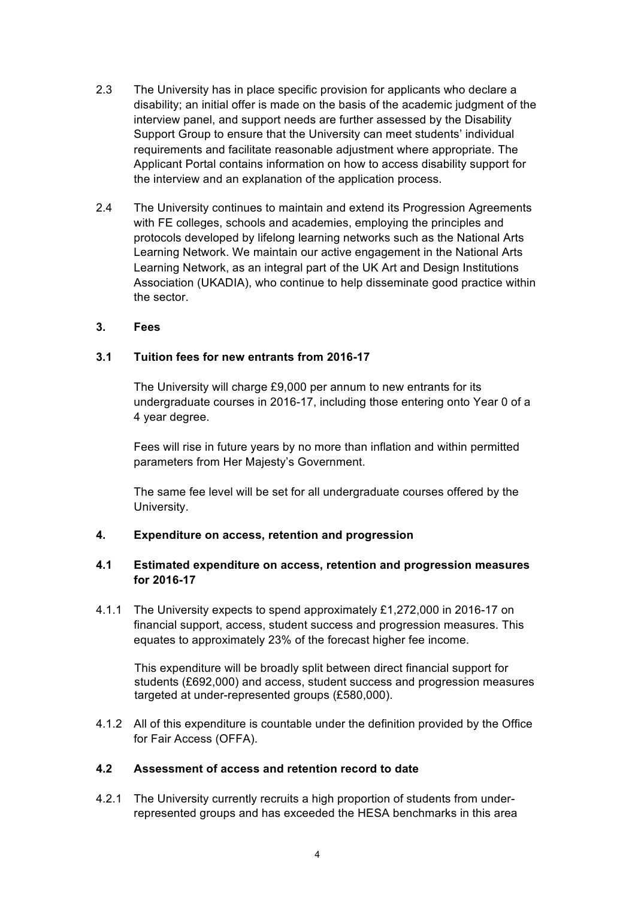- 2.3 The University has in place specific provision for applicants who declare a disability; an initial offer is made on the basis of the academic judgment of the interview panel, and support needs are further assessed by the Disability Support Group to ensure that the University can meet students' individual Applicant Portal contains information on how to access disability support for requirements and facilitate reasonable adjustment where appropriate. The the interview and an explanation of the application process.
- 2.4 The University continues to maintain and extend its Progression Agreements with FE colleges, schools and academies, employing the principles and protocols developed by lifelong learning networks such as the National Arts Learning Network. We maintain our active engagement in the National Arts Learning Network, as an integral part of the UK Art and Design Institutions Association (UKADIA), who continue to help disseminate good practice within the sector.

#### **3. Fees**

#### **3.1 Tuition fees for new entrants from 2016-17**

 The University will charge £9,000 per annum to new entrants for its undergraduate courses in 2016-17, including those entering onto Year 0 of a 4 year degree.

 Fees will rise in future years by no more than inflation and within permitted parameters from Her Majesty's Government.

 The same fee level will be set for all undergraduate courses offered by the University.

#### **4. Expenditure on access, retention and progression**

# **4.1 Estimated expenditure on access, retention and progression measures for 2016-17**

 4.1.1 The University expects to spend approximately £1,272,000 in 2016-17 on financial support, access, student success and progression measures. This equates to approximately 23% of the forecast higher fee income.

 This expenditure will be broadly split between direct financial support for students (£692,000) and access, student success and progression measures targeted at under-represented groups (£580,000).

 4.1.2 All of this expenditure is countable under the definition provided by the Office for Fair Access (OFFA).

#### **4.2 Assessment of access and retention record to date**

 4.2.1 The University currently recruits a high proportion of students from under-represented groups and has exceeded the HESA benchmarks in this area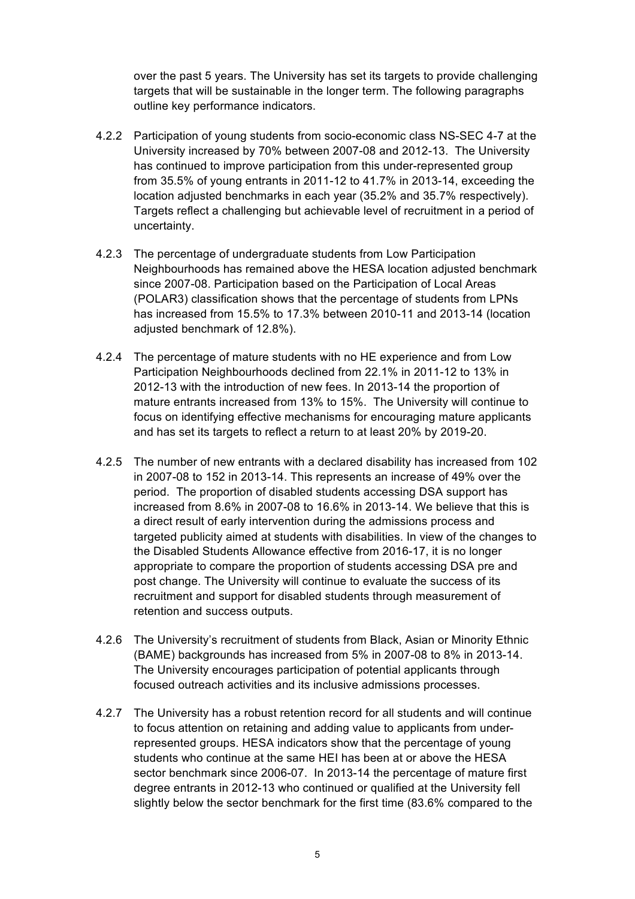over the past 5 years. The University has set its targets to provide challenging targets that will be sustainable in the longer term. The following paragraphs outline key performance indicators.

- 4.2.2 Participation of young students from socio-economic class NS-SEC 4-7 at the University increased by 70% between 2007-08 and 2012-13. The University has continued to improve participation from this under-represented group location adjusted benchmarks in each year (35.2% and 35.7% respectively). Targets reflect a challenging but achievable level of recruitment in a period of uncertainty. from 35.5% of young entrants in 2011-12 to 41.7% in 2013-14, exceeding the
- 4.2.3 The percentage of undergraduate students from Low Participation Neighbourhoods has remained above the HESA location adjusted benchmark since 2007-08. Participation based on the Participation of Local Areas (POLAR3) classification shows that the percentage of students from LPNs has increased from 15.5% to 17.3% between 2010-11 and 2013-14 (location adjusted benchmark of 12.8%).
- 4.2.4 The percentage of mature students with no HE experience and from Low Participation Neighbourhoods declined from 22.1% in 2011-12 to 13% in 2012-13 with the introduction of new fees. In 2013-14 the proportion of mature entrants increased from 13% to 15%. The University will continue to and has set its targets to reflect a return to at least 20% by 2019-20. focus on identifying effective mechanisms for encouraging mature applicants
- 4.2.5 The number of new entrants with a declared disability has increased from 102 period. The proportion of disabled students accessing DSA support has a direct result of early intervention during the admissions process and targeted publicity aimed at students with disabilities. In view of the changes to the Disabled Students Allowance effective from 2016-17, it is no longer appropriate to compare the proportion of students accessing DSA pre and post change. The University will continue to evaluate the success of its recruitment and support for disabled students through measurement of retention and success outputs. in 2007-08 to 152 in 2013-14. This represents an increase of 49% over the increased from 8.6% in 2007-08 to 16.6% in 2013-14. We believe that this is
- 4.2.6 The University's recruitment of students from Black, Asian or Minority Ethnic (BAME) backgrounds has increased from 5% in 2007-08 to 8% in 2013-14. The University encourages participation of potential applicants through focused outreach activities and its inclusive admissions processes.
- 4.2.7 The University has a robust retention record for all students and will continue represented groups. HESA indicators show that the percentage of young students who continue at the same HEI has been at or above the HESA sector benchmark since 2006-07. In 2013-14 the percentage of mature first degree entrants in 2012-13 who continued or qualified at the University fell slightly below the sector benchmark for the first time (83.6% compared to the to focus attention on retaining and adding value to applicants from under-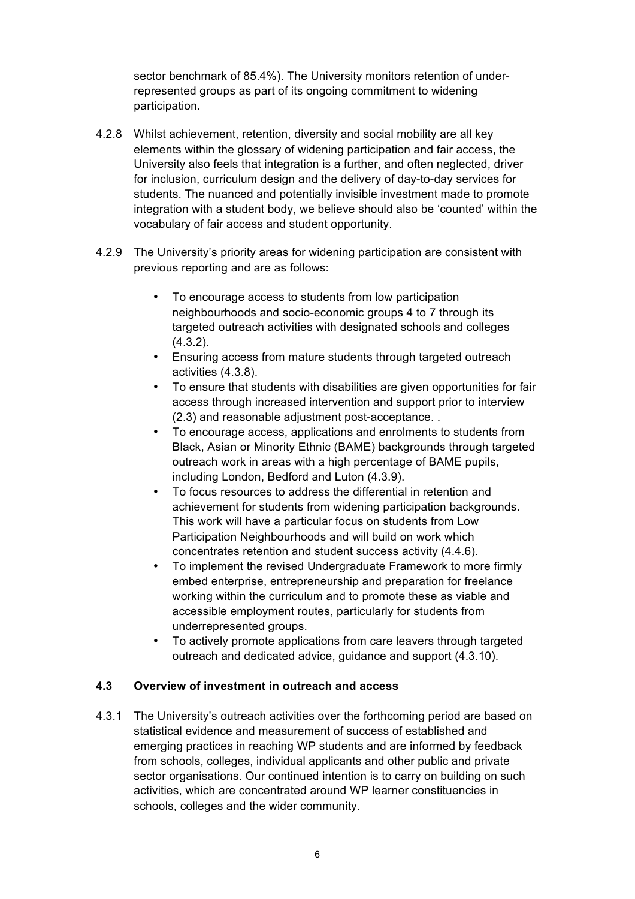sector benchmark of 85.4%). The University monitors retention of under- represented groups as part of its ongoing commitment to widening participation.

- 4.2.8 Whilst achievement, retention, diversity and social mobility are all key elements within the glossary of widening participation and fair access, the University also feels that integration is a further, and often neglected, driver for inclusion, curriculum design and the delivery of day-to-day services for integration with a student body, we believe should also be 'counted' within the vocabulary of fair access and student opportunity. students. The nuanced and potentially invisible investment made to promote
- 4.2.9 The University's priority areas for widening participation are consistent with previous reporting and are as follows:
	- • To encourage access to students from low participation neighbourhoods and socio-economic groups 4 to 7 through its targeted outreach activities with designated schools and colleges (4.3.2).
	- • Ensuring access from mature students through targeted outreach activities (4.3.8).
	- To ensure that students with disabilities are given opportunities for fair access through increased intervention and support prior to interview (2.3) and reasonable adjustment post-acceptance. .
	- • To encourage access, applications and enrolments to students from Black, Asian or Minority Ethnic (BAME) backgrounds through targeted outreach work in areas with a high percentage of BAME pupils, including London, Bedford and Luton (4.3.9).
	- • To focus resources to address the differential in retention and achievement for students from widening participation backgrounds. This work will have a particular focus on students from Low Participation Neighbourhoods and will build on work which concentrates retention and student success activity (4.4.6).
	- • To implement the revised Undergraduate Framework to more firmly working within the curriculum and to promote these as viable and embed enterprise, entrepreneurship and preparation for freelance accessible employment routes, particularly for students from underrepresented groups.
	- • To actively promote applications from care leavers through targeted outreach and dedicated advice, guidance and support (4.3.10).

# **4.3 Overview of investment in outreach and access**

 4.3.1 The University's outreach activities over the forthcoming period are based on statistical evidence and measurement of success of established and emerging practices in reaching WP students and are informed by feedback from schools, colleges, individual applicants and other public and private sector organisations. Our continued intention is to carry on building on such activities, which are concentrated around WP learner constituencies in schools, colleges and the wider community.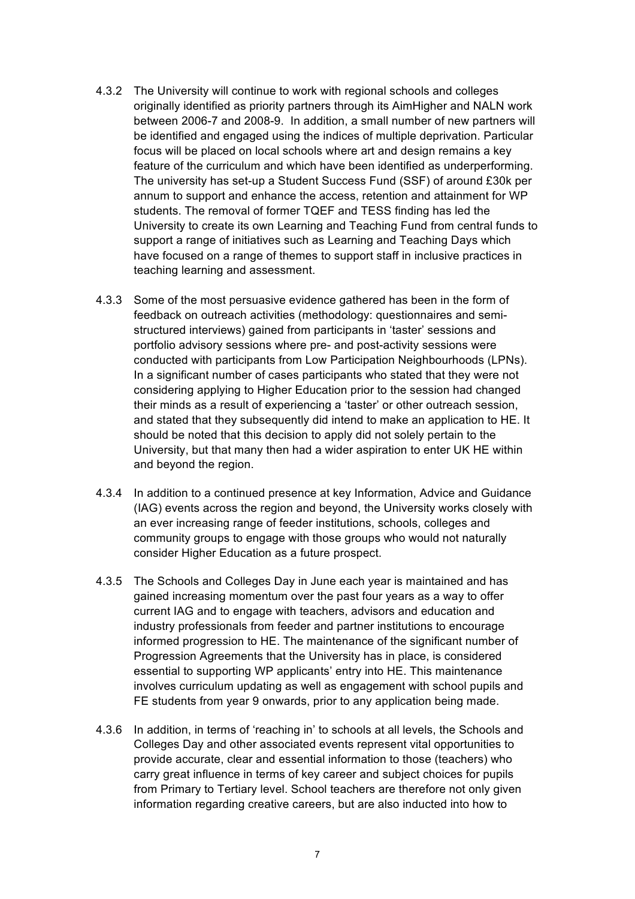- 4.3.2 The University will continue to work with regional schools and colleges originally identified as priority partners through its AimHigher and NALN work between 2006-7 and 2008-9. In addition, a small number of new partners will focus will be placed on local schools where art and design remains a key feature of the curriculum and which have been identified as underperforming. The university has set-up a Student Success Fund (SSF) of around £30k per annum to support and enhance the access, retention and attainment for WP students. The removal of former TQEF and TESS finding has led the University to create its own Learning and Teaching Fund from central funds to support a range of initiatives such as Learning and Teaching Days which have focused on a range of themes to support staff in inclusive practices in be identified and engaged using the indices of multiple deprivation. Particular teaching learning and assessment.
- 4.3.3 Some of the most persuasive evidence gathered has been in the form of structured interviews) gained from participants in 'taster' sessions and portfolio advisory sessions where pre- and post-activity sessions were conducted with participants from Low Participation Neighbourhoods (LPNs). In a significant number of cases participants who stated that they were not considering applying to Higher Education prior to the session had changed their minds as a result of experiencing a 'taster' or other outreach session, and stated that they subsequently did intend to make an application to HE. It should be noted that this decision to apply did not solely pertain to the University, but that many then had a wider aspiration to enter UK HE within feedback on outreach activities (methodology: questionnaires and semiand beyond the region.
- 4.3.4 In addition to a continued presence at key Information, Advice and Guidance (IAG) events across the region and beyond, the University works closely with an ever increasing range of feeder institutions, schools, colleges and consider Higher Education as a future prospect. community groups to engage with those groups who would not naturally
- 4.3.5 The Schools and Colleges Day in June each year is maintained and has gained increasing momentum over the past four years as a way to offer informed progression to HE. The maintenance of the significant number of Progression Agreements that the University has in place, is considered essential to supporting WP applicants' entry into HE. This maintenance involves curriculum updating as well as engagement with school pupils and FE students from year 9 onwards, prior to any application being made. current IAG and to engage with teachers, advisors and education and industry professionals from feeder and partner institutions to encourage
- Colleges Day and other associated events represent vital opportunities to provide accurate, clear and essential information to those (teachers) who carry great influence in terms of key career and subject choices for pupils information regarding creative careers, but are also inducted into how to 4.3.6 In addition, in terms of 'reaching in' to schools at all levels, the Schools and from Primary to Tertiary level. School teachers are therefore not only given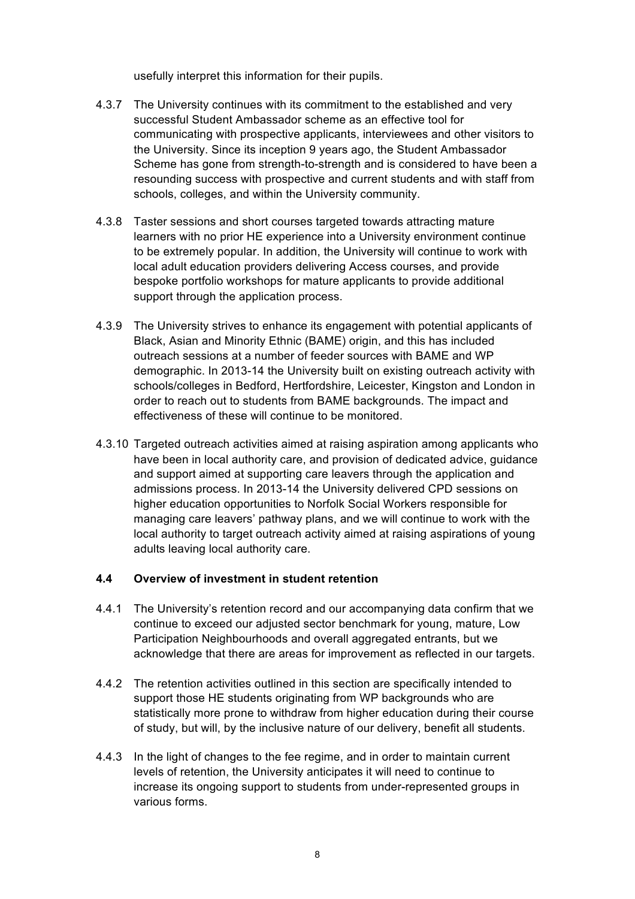usefully interpret this information for their pupils.

- 4.3.7 The University continues with its commitment to the established and very successful Student Ambassador scheme as an effective tool for communicating with prospective applicants, interviewees and other visitors to the University. Since its inception 9 years ago, the Student Ambassador Scheme has gone from strength-to-strength and is considered to have been a resounding success with prospective and current students and with staff from schools, colleges, and within the University community.
- 4.3.8 Taster sessions and short courses targeted towards attracting mature learners with no prior HE experience into a University environment continue local adult education providers delivering Access courses, and provide bespoke portfolio workshops for mature applicants to provide additional support through the application process. to be extremely popular. In addition, the University will continue to work with
- 4.3.9 The University strives to enhance its engagement with potential applicants of Black, Asian and Minority Ethnic (BAME) origin, and this has included outreach sessions at a number of feeder sources with BAME and WP order to reach out to students from BAME backgrounds. The impact and effectiveness of these will continue to be monitored. demographic. In 2013-14 the University built on existing outreach activity with schools/colleges in Bedford, Hertfordshire, Leicester, Kingston and London in
- 4.3.10 Targeted outreach activities aimed at raising aspiration among applicants who have been in local authority care, and provision of dedicated advice, guidance and support aimed at supporting care leavers through the application and admissions process. In 2013-14 the University delivered CPD sessions on higher education opportunities to Norfolk Social Workers responsible for managing care leavers' pathway plans, and we will continue to work with the local authority to target outreach activity aimed at raising aspirations of young adults leaving local authority care.

# **4.4 Overview of investment in student retention**

- 4.4.1 The University's retention record and our accompanying data confirm that we acknowledge that there are areas for improvement as reflected in our targets. continue to exceed our adjusted sector benchmark for young, mature, Low Participation Neighbourhoods and overall aggregated entrants, but we
- 4.4.2 The retention activities outlined in this section are specifically intended to support those HE students originating from WP backgrounds who are statistically more prone to withdraw from higher education during their course of study, but will, by the inclusive nature of our delivery, benefit all students.
- levels of retention, the University anticipates it will need to continue to increase its ongoing support to students from under-represented groups in 4.4.3 In the light of changes to the fee regime, and in order to maintain current various forms.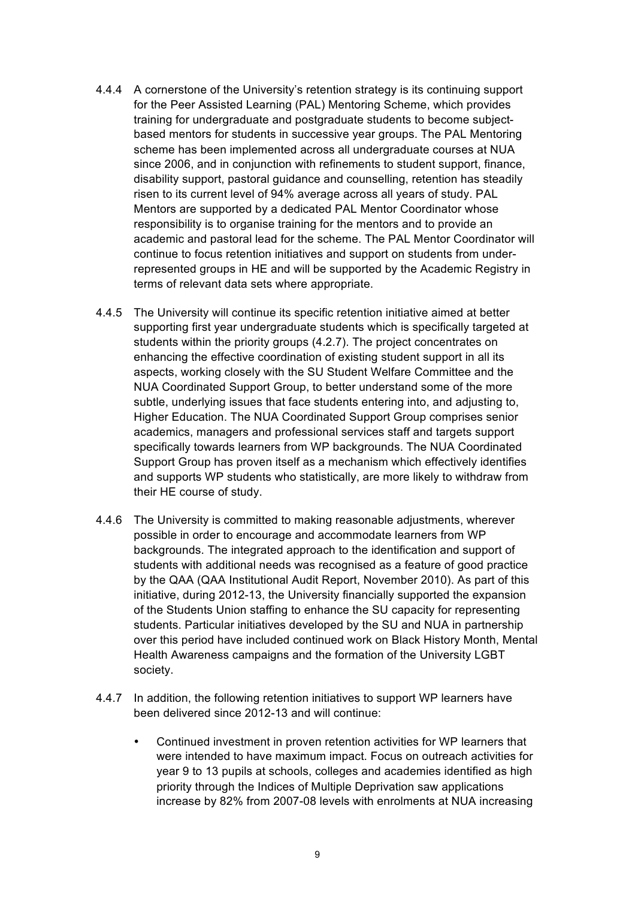- 4.4.4 A cornerstone of the University's retention strategy is its continuing support for the Peer Assisted Learning (PAL) Mentoring Scheme, which provides based mentors for students in successive year groups. The PAL Mentoring scheme has been implemented across all undergraduate courses at NUA since 2006, and in conjunction with refinements to student support, finance, disability support, pastoral guidance and counselling, retention has steadily risen to its current level of 94% average across all years of study. PAL Mentors are supported by a dedicated PAL Mentor Coordinator whose responsibility is to organise training for the mentors and to provide an academic and pastoral lead for the scheme. The PAL Mentor Coordinator will continue to focus retention initiatives and support on students from under- represented groups in HE and will be supported by the Academic Registry in training for undergraduate and postgraduate students to become subjectterms of relevant data sets where appropriate.
- supporting first year undergraduate students which is specifically targeted at students within the priority groups (4.2.7). The project concentrates on enhancing the effective coordination of existing student support in all its aspects, working closely with the SU Student Welfare Committee and the NUA Coordinated Support Group, to better understand some of the more subtle, underlying issues that face students entering into, and adjusting to, academics, managers and professional services staff and targets support specifically towards learners from WP backgrounds. The NUA Coordinated Support Group has proven itself as a mechanism which effectively identifies and supports WP students who statistically, are more likely to withdraw from 4.4.5 The University will continue its specific retention initiative aimed at better Higher Education. The NUA Coordinated Support Group comprises senior their HE course of study.
- 4.4.6 The University is committed to making reasonable adjustments, wherever possible in order to encourage and accommodate learners from WP backgrounds. The integrated approach to the identification and support of by the QAA (QAA Institutional Audit Report, November 2010). As part of this initiative, during 2012-13, the University financially supported the expansion of the Students Union staffing to enhance the SU capacity for representing students. Particular initiatives developed by the SU and NUA in partnership over this period have included continued work on Black History Month, Mental Health Awareness campaigns and the formation of the University LGBT students with additional needs was recognised as a feature of good practice society.
- 4.4.7 In addition, the following retention initiatives to support WP learners have been delivered since 2012-13 and will continue:
	- • Continued investment in proven retention activities for WP learners that were intended to have maximum impact. Focus on outreach activities for year 9 to 13 pupils at schools, colleges and academies identified as high priority through the Indices of Multiple Deprivation saw applications increase by 82% from 2007-08 levels with enrolments at NUA increasing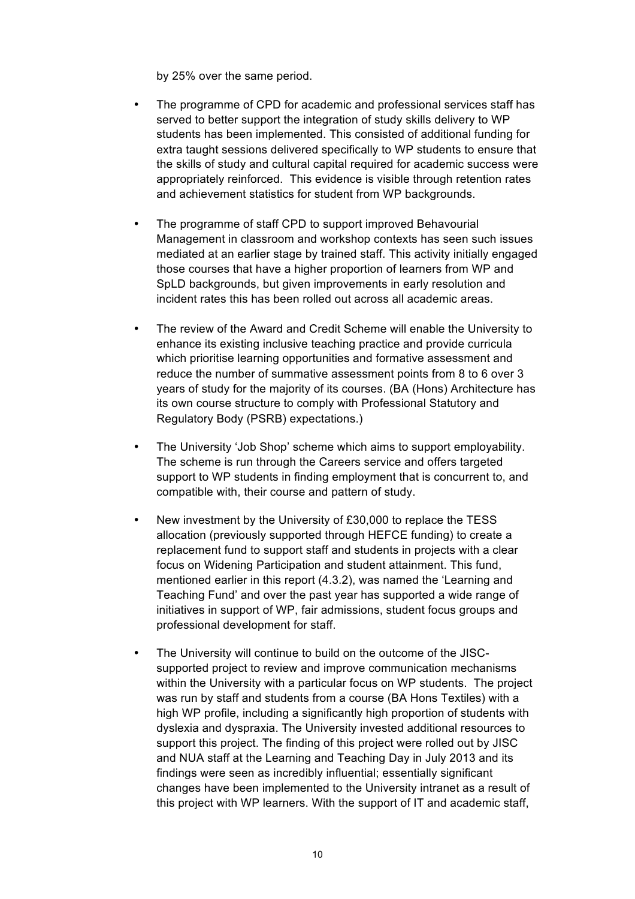by 25% over the same period.

- • The programme of CPD for academic and professional services staff has served to better support the integration of study skills delivery to WP extra taught sessions delivered specifically to WP students to ensure that appropriately reinforced. This evidence is visible through retention rates and achievement statistics for student from WP backgrounds. students has been implemented. This consisted of additional funding for the skills of study and cultural capital required for academic success were
- Management in classroom and workshop contexts has seen such issues mediated at an earlier stage by trained staff. This activity initially engaged SpLD backgrounds, but given improvements in early resolution and incident rates this has been rolled out across all academic areas. The programme of staff CPD to support improved Behavourial those courses that have a higher proportion of learners from WP and
- • The review of the Award and Credit Scheme will enable the University to which prioritise learning opportunities and formative assessment and reduce the number of summative assessment points from 8 to 6 over 3 years of study for the majority of its courses. (BA (Hons) Architecture has its own course structure to comply with Professional Statutory and Regulatory Body (PSRB) expectations.) enhance its existing inclusive teaching practice and provide curricula
- • The University 'Job Shop' scheme which aims to support employability. The scheme is run through the Careers service and offers targeted support to WP students in finding employment that is concurrent to, and compatible with, their course and pattern of study.
- • New investment by the University of £30,000 to replace the TESS allocation (previously supported through HEFCE funding) to create a focus on Widening Participation and student attainment. This fund, mentioned earlier in this report (4.3.2), was named the 'Learning and Teaching Fund' and over the past year has supported a wide range of initiatives in support of WP, fair admissions, student focus groups and professional development for staff. replacement fund to support staff and students in projects with a clear
- • The University will continue to build on the outcome of the JISC- supported project to review and improve communication mechanisms within the University with a particular focus on WP students. The project was run by staff and students from a course (BA Hons Textiles) with a high WP profile, including a significantly high proportion of students with dyslexia and dyspraxia. The University invested additional resources to support this project. The finding of this project were rolled out by JISC and NUA staff at the Learning and Teaching Day in July 2013 and its changes have been implemented to the University intranet as a result of this project with WP learners. With the support of IT and academic staff, findings were seen as incredibly influential; essentially significant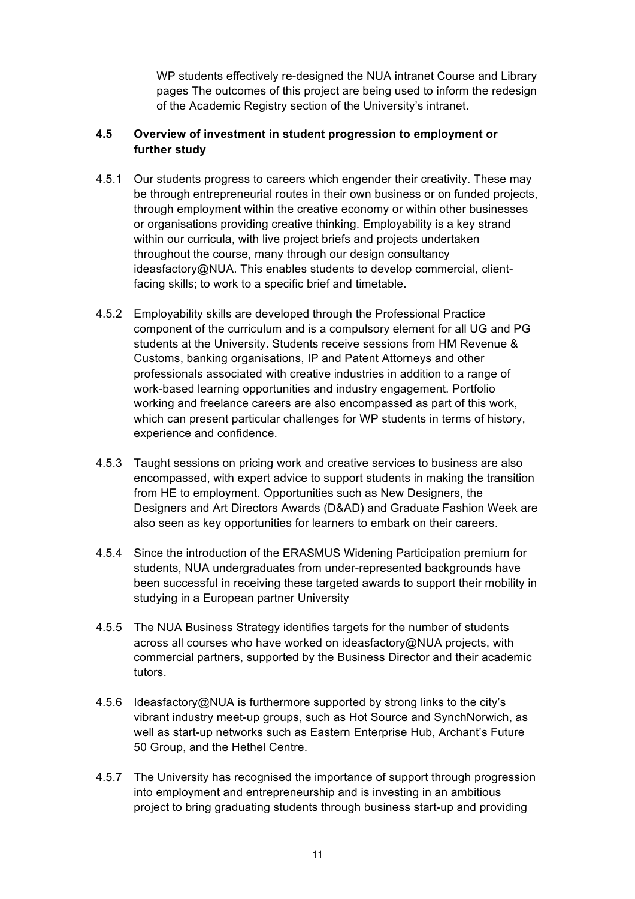WP students effectively re-designed the NUA intranet Course and Library pages The outcomes of this project are being used to inform the redesign of the Academic Registry section of the University's intranet.

# **4.5 Overview of investment in student progression to employment or further study**

- 4.5.1 Our students progress to careers which engender their creativity. These may be through entrepreneurial routes in their own business or on funded projects, or organisations providing creative thinking. Employability is a key strand within our curricula, with live project briefs and projects undertaken ideasfactory@NUA. This enables students to develop commercial, client- facing skills; to work to a specific brief and timetable. through employment within the creative economy or within other businesses throughout the course, many through our design consultancy
- component of the curriculum and is a compulsory element for all UG and PG students at the University. Students receive sessions from HM Revenue & professionals associated with creative industries in addition to a range of working and freelance careers are also encompassed as part of this work, which can present particular challenges for WP students in terms of history, 4.5.2 Employability skills are developed through the Professional Practice Customs, banking organisations, IP and Patent Attorneys and other work-based learning opportunities and industry engagement. Portfolio experience and confidence.
- 4.5.3 Taught sessions on pricing work and creative services to business are also encompassed, with expert advice to support students in making the transition Designers and Art Directors Awards (D&AD) and Graduate Fashion Week are also seen as key opportunities for learners to embark on their careers. from HE to employment. Opportunities such as New Designers, the
- 4.5.4 Since the introduction of the ERASMUS Widening Participation premium for students, NUA undergraduates from under-represented backgrounds have been successful in receiving these targeted awards to support their mobility in studying in a European partner University
- 4.5.5 The NUA Business Strategy identifies targets for the number of students across all courses who have worked on ideasfactory@NUA projects, with commercial partners, supported by the Business Director and their academic tutors.
- vibrant industry meet-up groups, such as Hot Source and SynchNorwich, as well as start-up networks such as Eastern Enterprise Hub, Archant's Future 4.5.6 Ideasfactory@NUA is furthermore supported by strong links to the city's 50 Group, and the Hethel Centre.
- 4.5.7 The University has recognised the importance of support through progression into employment and entrepreneurship and is investing in an ambitious project to bring graduating students through business start-up and providing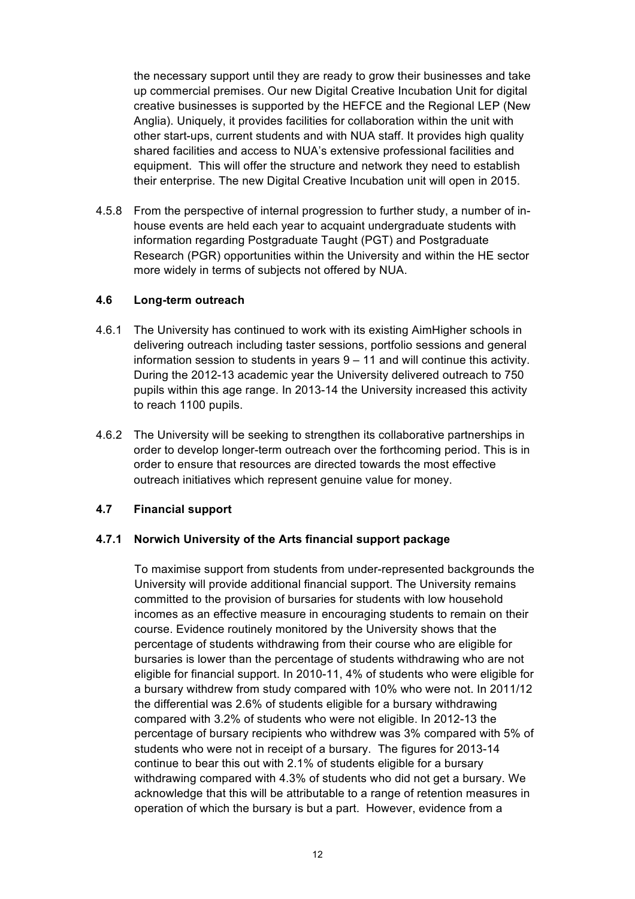up commercial premises. Our new Digital Creative Incubation Unit for digital creative businesses is supported by the HEFCE and the Regional LEP (New Anglia). Uniquely, it provides facilities for collaboration within the unit with other start-ups, current students and with NUA staff. It provides high quality shared facilities and access to NUA's extensive professional facilities and equipment. This will offer the structure and network they need to establish their enterprise. The new Digital Creative Incubation unit will open in 2015. the necessary support until they are ready to grow their businesses and take

 4.5.8 From the perspective of internal progression to further study, a number of in- house events are held each year to acquaint undergraduate students with information regarding Postgraduate Taught (PGT) and Postgraduate Research (PGR) opportunities within the University and within the HE sector more widely in terms of subjects not offered by NUA.

# **4.6 Long-term outreach**

- 4.6.1 The University has continued to work with its existing AimHigher schools in delivering outreach including taster sessions, portfolio sessions and general information session to students in years 9 – 11 and will continue this activity. During the 2012-13 academic year the University delivered outreach to 750 pupils within this age range. In 2013-14 the University increased this activity to reach 1100 pupils.
- 4.6.2 The University will be seeking to strengthen its collaborative partnerships in order to ensure that resources are directed towards the most effective outreach initiatives which represent genuine value for money. order to develop longer-term outreach over the forthcoming period. This is in

# **4.7 Financial support**

# **4.7.1 Norwich University of the Arts financial support package**

 To maximise support from students from under-represented backgrounds the University will provide additional financial support. The University remains committed to the provision of bursaries for students with low household incomes as an effective measure in encouraging students to remain on their course. Evidence routinely monitored by the University shows that the percentage of students withdrawing from their course who are eligible for bursaries is lower than the percentage of students withdrawing who are not eligible for financial support. In 2010-11, 4% of students who were eligible for a bursary withdrew from study compared with 10% who were not. In 2011/12 compared with 3.2% of students who were not eligible. In 2012-13 the percentage of bursary recipients who withdrew was 3% compared with 5% of students who were not in receipt of a bursary. The figures for 2013-14 continue to bear this out with 2.1% of students eligible for a bursary withdrawing compared with 4.3% of students who did not get a bursary. We acknowledge that this will be attributable to a range of retention measures in operation of which the bursary is but a part. However, evidence from a the differential was 2.6% of students eligible for a bursary withdrawing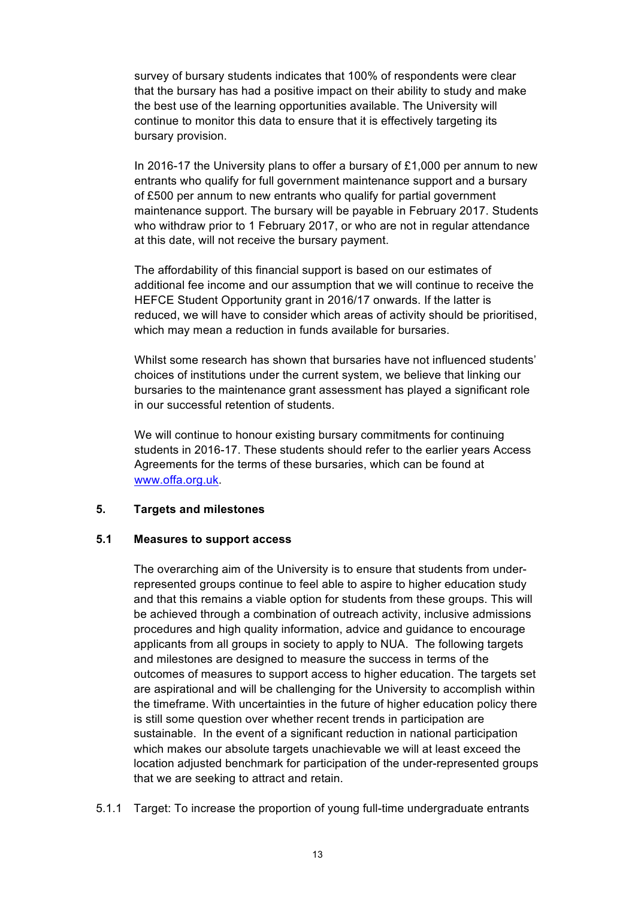that the bursary has had a positive impact on their ability to study and make the best use of the learning opportunities available. The University will continue to monitor this data to ensure that it is effectively targeting its survey of bursary students indicates that 100% of respondents were clear bursary provision.

 In 2016-17 the University plans to offer a bursary of £1,000 per annum to new entrants who qualify for full government maintenance support and a bursary of £500 per annum to new entrants who qualify for partial government maintenance support. The bursary will be payable in February 2017. Students who withdraw prior to 1 February 2017, or who are not in regular attendance at this date, will not receive the bursary payment.

 The affordability of this financial support is based on our estimates of additional fee income and our assumption that we will continue to receive the HEFCE Student Opportunity grant in 2016/17 onwards. If the latter is which may mean a reduction in funds available for bursaries. reduced, we will have to consider which areas of activity should be prioritised,

 Whilst some research has shown that bursaries have not influenced students' choices of institutions under the current system, we believe that linking our bursaries to the maintenance grant assessment has played a significant role in our successful retention of students.

 We will continue to honour existing bursary commitments for continuing students in 2016-17. These students should refer to the earlier years Access Agreements for the terms of these bursaries, which can be found at [www.offa.org.uk.](www.offa.org.uk)

# **5. Targets and milestones**

#### **5.1 Measures to support access**

 The overarching aim of the University is to ensure that students from under- represented groups continue to feel able to aspire to higher education study and that this remains a viable option for students from these groups. This will applicants from all groups in society to apply to NUA. The following targets and milestones are designed to measure the success in terms of the outcomes of measures to support access to higher education. The targets set the timeframe. With uncertainties in the future of higher education policy there is still some question over whether recent trends in participation are sustainable. In the event of a significant reduction in national participation which makes our absolute targets unachievable we will at least exceed the location adjusted benchmark for participation of the under-represented groups be achieved through a combination of outreach activity, inclusive admissions procedures and high quality information, advice and guidance to encourage are aspirational and will be challenging for the University to accomplish within that we are seeking to attract and retain.

5.1.1 Target: To increase the proportion of young full-time undergraduate entrants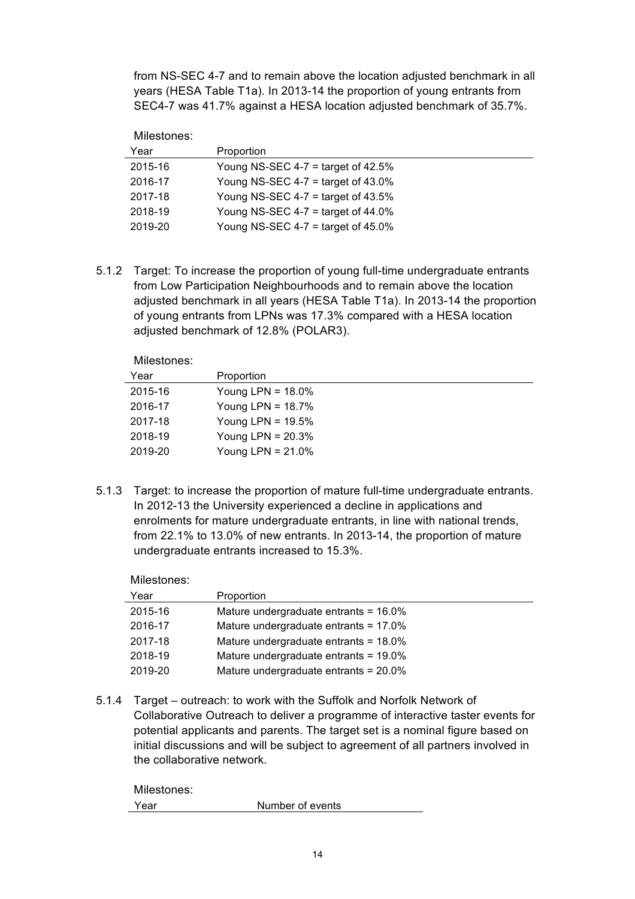from NS-SEC 4-7 and to remain above the location adjusted benchmark in all SEC4-7 was 41.7% against a HESA location adjusted benchmark of 35.7%. years (HESA Table T1a). In 2013-14 the proportion of young entrants from

Milestones:

| Year    | Proportion                            |
|---------|---------------------------------------|
| 2015-16 | Young NS-SEC 4-7 = target of 42.5%    |
| 2016-17 | Young NS-SEC 4-7 = target of $43.0\%$ |
| 2017-18 | Young NS-SEC 4-7 = target of $43.5\%$ |
| 2018-19 | Young NS-SEC 4-7 = target of $44.0\%$ |
| 2019-20 | Young NS-SEC 4-7 = target of 45.0%    |

 5.1.2 Target: To increase the proportion of young full-time undergraduate entrants adjusted benchmark in all years (HESA Table T1a). In 2013-14 the proportion of young entrants from LPNs was 17.3% compared with a HESA location adjusted benchmark of 12.8% (POLAR3). from Low Participation Neighbourhoods and to remain above the location

Milestones:

| Proportion           |
|----------------------|
| Young LPN = $18.0\%$ |
| Young LPN = $18.7\%$ |
| Young LPN = $19.5\%$ |
| Young LPN = $20.3\%$ |
| Young LPN = $21.0\%$ |
|                      |

 5.1.3 Target: to increase the proportion of mature full-time undergraduate entrants. enrolments for mature undergraduate entrants, in line with national trends, In 2012-13 the University experienced a decline in applications and from 22.1% to 13.0% of new entrants. In 2013-14, the proportion of mature undergraduate entrants increased to 15.3%.

| Milestones: |                                          |
|-------------|------------------------------------------|
| Year        | Proportion                               |
| 2015-16     | Mature undergraduate entrants = $16.0\%$ |
| 2016-17     | Mature undergraduate entrants = $17.0\%$ |
| 2017-18     | Mature undergraduate entrants = 18.0%    |
| 2018-19     | Mature undergraduate entrants = $19.0\%$ |
| 2019-20     | Mature undergraduate entrants = 20.0%    |

 5.1.4 Target – outreach: to work with the Suffolk and Norfolk Network of Collaborative Outreach to deliver a programme of interactive taster events for potential applicants and parents. The target set is a nominal figure based on initial discussions and will be subject to agreement of all partners involved in the collaborative network.

| Milestones: |                  |
|-------------|------------------|
| Year        | Number of events |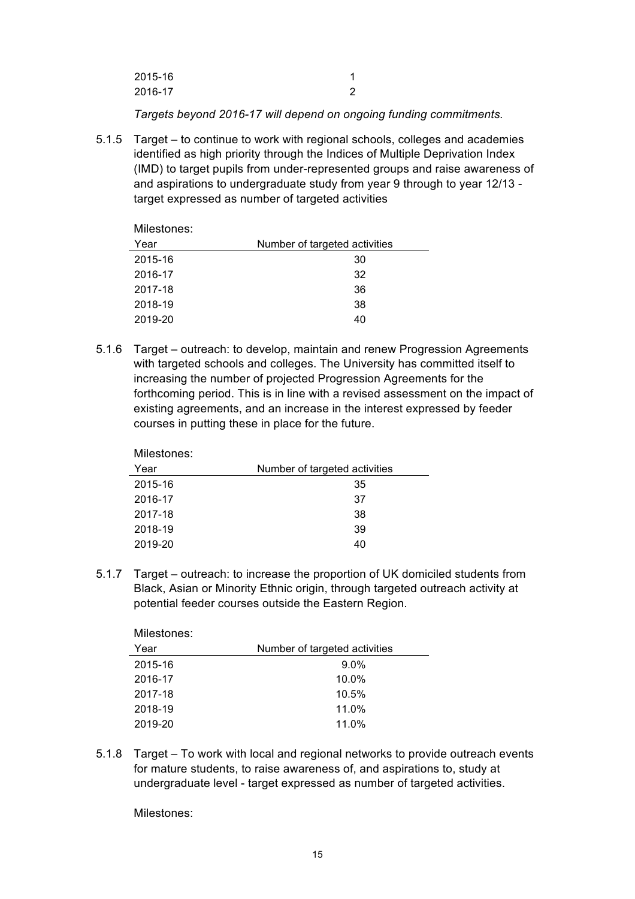| 2015-16 |  |
|---------|--|
| 2016-17 |  |

 *Targets beyond 2016-17 will depend on ongoing funding commitments.*

 5.1.5 Target – to continue to work with regional schools, colleges and academies identified as high priority through the Indices of Multiple Deprivation Index (IMD) to target pupils from under-represented groups and raise awareness of and aspirations to undergraduate study from year 9 through to year 12/13 target expressed as number of targeted activities

| Milestones: |                               |
|-------------|-------------------------------|
| Year        | Number of targeted activities |
| 2015-16     | 30                            |
| 2016-17     | 32                            |
| 2017-18     | 36                            |
| 2018-19     | 38                            |
| 2019-20     | 40                            |

 with targeted schools and colleges. The University has committed itself to increasing the number of projected Progression Agreements for the existing agreements, and an increase in the interest expressed by feeder courses in putting these in place for the future. 5.1.6 Target – outreach: to develop, maintain and renew Progression Agreements forthcoming period. This is in line with a revised assessment on the impact of

| IVIIIGOLUITGO. |                               |
|----------------|-------------------------------|
| Year           | Number of targeted activities |
| 2015-16        | 35                            |
| 2016-17        | 37                            |
| 2017-18        | 38                            |
| 2018-19        | 39                            |
| 2019-20        | 40                            |
|                |                               |

 5.1.7 Target – outreach: to increase the proportion of UK domiciled students from Black, Asian or Minority Ethnic origin, through targeted outreach activity at potential feeder courses outside the Eastern Region.

| <b>MILESTONES:</b> |                               |  |
|--------------------|-------------------------------|--|
| Year               | Number of targeted activities |  |
| 2015-16            | $9.0\%$                       |  |
| 2016-17            | $10.0\%$                      |  |
| 2017-18            | 10.5%                         |  |
| 2018-19            | 11.0%                         |  |
| 2019-20            | 11.0%                         |  |
|                    |                               |  |

 5.1.8 Target – To work with local and regional networks to provide outreach events undergraduate level - target expressed as number of targeted activities. for mature students, to raise awareness of, and aspirations to, study at

Milestones:

Milostones:

Milestones: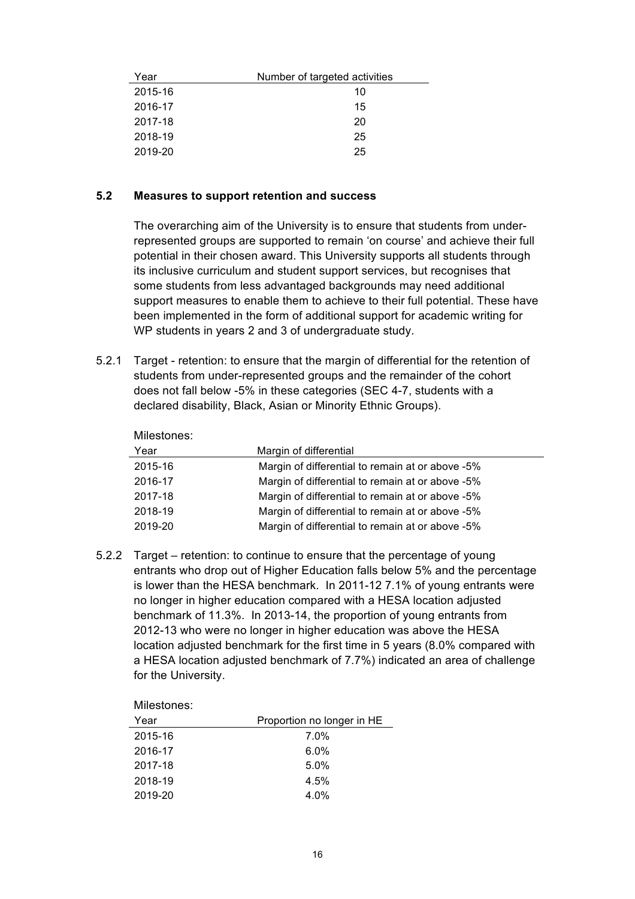| Year    | Number of targeted activities |
|---------|-------------------------------|
| 2015-16 | 10                            |
| 2016-17 | 15                            |
| 2017-18 | 20                            |
| 2018-19 | 25                            |
| 2019-20 | 25                            |

# **5.2 Measures to support retention and success**

 The overarching aim of the University is to ensure that students from under- represented groups are supported to remain 'on course' and achieve their full potential in their chosen award. This University supports all students through its inclusive curriculum and student support services, but recognises that some students from less advantaged backgrounds may need additional support measures to enable them to achieve to their full potential. These have been implemented in the form of additional support for academic writing for WP students in years 2 and 3 of undergraduate study.

 5.2.1 Target - retention: to ensure that the margin of differential for the retention of students from under-represented groups and the remainder of the cohort does not fall below -5% in these categories (SEC 4-7, students with a declared disability, Black, Asian or Minority Ethnic Groups).

| Milestones: |                                                  |
|-------------|--------------------------------------------------|
| Year        | Margin of differential                           |
| 2015-16     | Margin of differential to remain at or above -5% |
| 2016-17     | Margin of differential to remain at or above -5% |
| 2017-18     | Margin of differential to remain at or above -5% |
| 2018-19     | Margin of differential to remain at or above -5% |
| 2019-20     | Margin of differential to remain at or above -5% |
|             |                                                  |

 entrants who drop out of Higher Education falls below 5% and the percentage is lower than the HESA benchmark. In 2011-12 7.1% of young entrants were no longer in higher education compared with a HESA location adjusted benchmark of 11.3%. In 2013-14, the proportion of young entrants from 2012-13 who were no longer in higher education was above the HESA location adjusted benchmark for the first time in 5 years (8.0% compared with a HESA location adjusted benchmark of 7.7%) indicated an area of challenge 5.2.2 Target – retention: to continue to ensure that the percentage of young for the University.

Milestones:

| Year    | Proportion no longer in HE |
|---------|----------------------------|
| 2015-16 | $7.0\%$                    |
| 2016-17 | $6.0\%$                    |
| 2017-18 | 5.0%                       |
| 2018-19 | 4.5%                       |
| 2019-20 | 4.0%                       |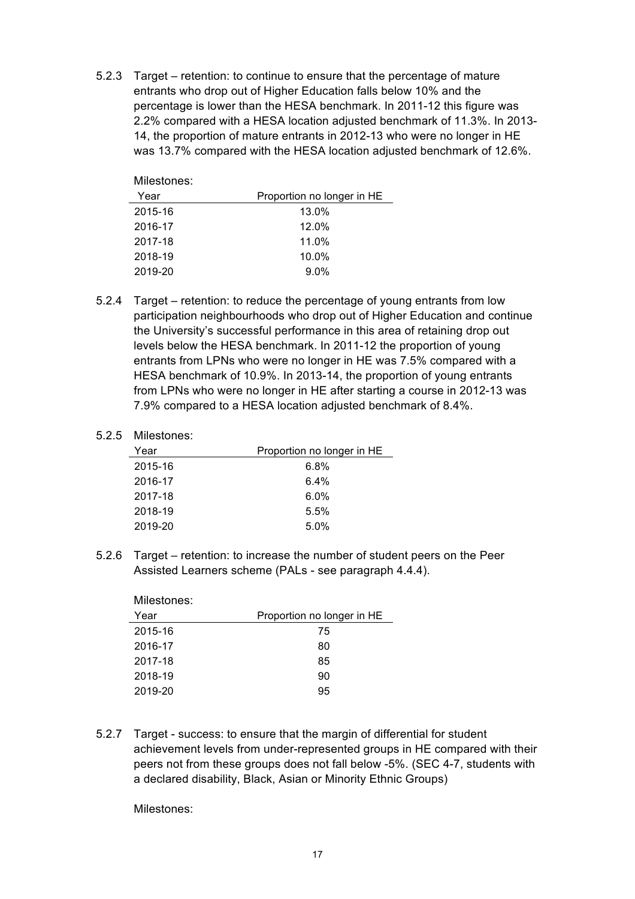entrants who drop out of Higher Education falls below 10% and the percentage is lower than the HESA benchmark. In 2011-12 this figure was 2.2% compared with a HESA location adjusted benchmark of 11.3%. In 2013- 14, the proportion of mature entrants in 2012-13 who were no longer in HE was 13.7% compared with the HESA location adjusted benchmark of 12.6%. 5.2.3 Target – retention: to continue to ensure that the percentage of mature

| Milestones: |                            |
|-------------|----------------------------|
| Year        | Proportion no longer in HE |
| 2015-16     | 13.0%                      |
| 2016-17     | 12.0%                      |
| 2017-18     | 11.0%                      |
| 2018-19     | $10.0\%$                   |
| 2019-20     | 9.0%                       |

 participation neighbourhoods who drop out of Higher Education and continue levels below the HESA benchmark. In 2011-12 the proportion of young entrants from LPNs who were no longer in HE was 7.5% compared with a HESA benchmark of 10.9%. In 2013-14, the proportion of young entrants 7.9% compared to a HESA location adjusted benchmark of 8.4%. 5.2.4 Target – retention: to reduce the percentage of young entrants from low the University's successful performance in this area of retaining drop out from LPNs who were no longer in HE after starting a course in 2012-13 was

#### 5.2.5 Milestones:

| Year    | Proportion no longer in HE |
|---------|----------------------------|
| 2015-16 | 6.8%                       |
| 2016-17 | $6.4\%$                    |
| 2017-18 | $6.0\%$                    |
| 2018-19 | 5.5%                       |
| 2019-20 | 5.0%                       |

 5.2.6 Target – retention: to increase the number of student peers on the Peer Assisted Learners scheme (PALs - see paragraph 4.4.4).

| Proportion no longer in HE |
|----------------------------|
| 75                         |
| 80                         |
| 85                         |
| 90                         |
| 95                         |
|                            |

 5.2.7 Target - success: to ensure that the margin of differential for student achievement levels from under-represented groups in HE compared with their peers not from these groups does not fall below -5%. (SEC 4-7, students with a declared disability, Black, Asian or Minority Ethnic Groups)

Milestones: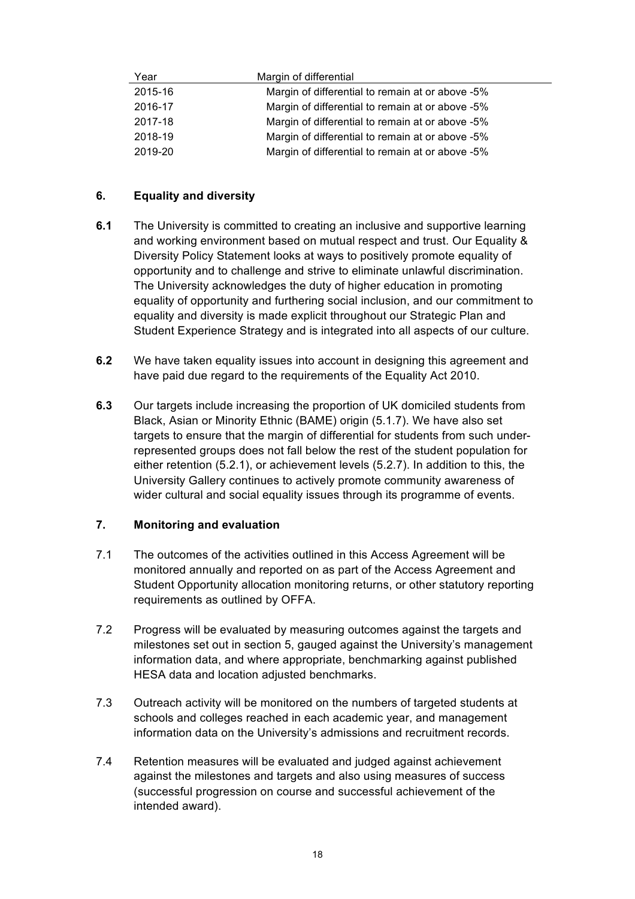| Year    | Margin of differential                           |
|---------|--------------------------------------------------|
| 2015-16 | Margin of differential to remain at or above -5% |
| 2016-17 | Margin of differential to remain at or above -5% |
| 2017-18 | Margin of differential to remain at or above -5% |
| 2018-19 | Margin of differential to remain at or above -5% |
| 2019-20 | Margin of differential to remain at or above -5% |

# **6. Equality and diversity**

- **6.1** The University is committed to creating an inclusive and supportive learning and working environment based on mutual respect and trust. Our Equality & Diversity Policy Statement looks at ways to positively promote equality of The University acknowledges the duty of higher education in promoting equality of opportunity and furthering social inclusion, and our commitment to equality and diversity is made explicit throughout our Strategic Plan and Student Experience Strategy and is integrated into all aspects of our culture. opportunity and to challenge and strive to eliminate unlawful discrimination.
- **6.2** We have taken equality issues into account in designing this agreement and have paid due regard to the requirements of the Equality Act 2010.
- **6.3** Our targets include increasing the proportion of UK domiciled students from Black, Asian or Minority Ethnic (BAME) origin (5.1.7). We have also set represented groups does not fall below the rest of the student population for University Gallery continues to actively promote community awareness of wider cultural and social equality issues through its programme of events. targets to ensure that the margin of differential for students from such undereither retention (5.2.1), or achievement levels (5.2.7). In addition to this, the

# **7. Monitoring and evaluation**

- 7.1 The outcomes of the activities outlined in this Access Agreement will be monitored annually and reported on as part of the Access Agreement and Student Opportunity allocation monitoring returns, or other statutory reporting requirements as outlined by OFFA.
- 7.2 Progress will be evaluated by measuring outcomes against the targets and milestones set out in section 5, gauged against the University's management information data, and where appropriate, benchmarking against published HESA data and location adjusted benchmarks.
- 7.3 Outreach activity will be monitored on the numbers of targeted students at schools and colleges reached in each academic year, and management information data on the University's admissions and recruitment records.
- 7.4 Retention measures will be evaluated and judged against achievement against the milestones and targets and also using measures of success (successful progression on course and successful achievement of the intended award).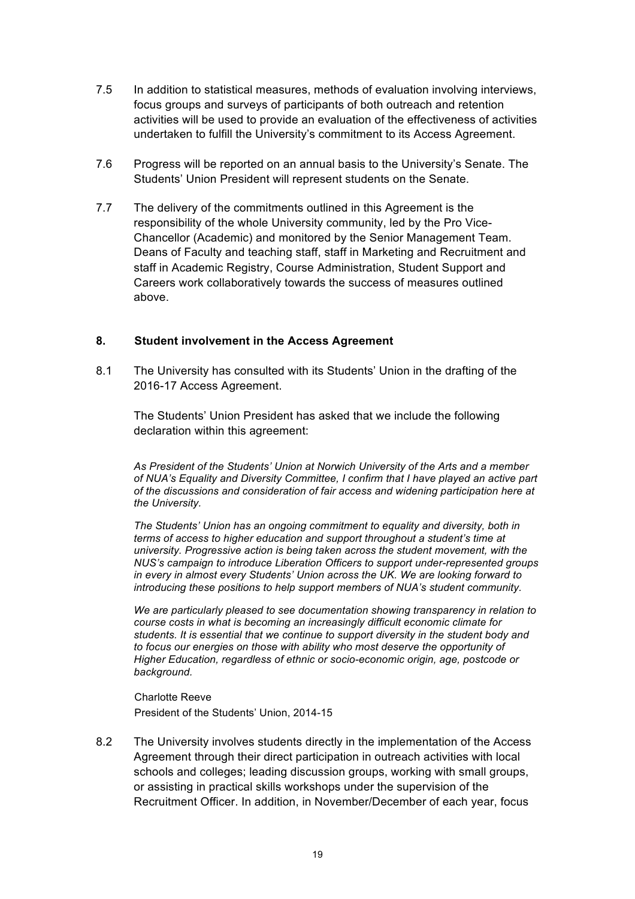- 7.5 In addition to statistical measures, methods of evaluation involving interviews, activities will be used to provide an evaluation of the effectiveness of activities undertaken to fulfill the University's commitment to its Access Agreement. focus groups and surveys of participants of both outreach and retention
- 7.6 Progress will be reported on an annual basis to the University's Senate. The Students' Union President will represent students on the Senate.
- 7.7 The delivery of the commitments outlined in this Agreement is the responsibility of the whole University community, led by the Pro Vice- Deans of Faculty and teaching staff, staff in Marketing and Recruitment and staff in Academic Registry, Course Administration, Student Support and Chancellor (Academic) and monitored by the Senior Management Team. Careers work collaboratively towards the success of measures outlined above.

# **8. Student involvement in the Access Agreement**

 8.1 The University has consulted with its Students' Union in the drafting of the 2016-17 Access Agreement.

 The Students' Union President has asked that we include the following declaration within this agreement:

 *As President of the Students' Union at Norwich University of the Arts and a member of NUA's Equality and Diversity Committee, I confirm that I have played an active part of the discussions and consideration of fair access and widening participation here at the University.*

 *The Students' Union has an ongoing commitment to equality and diversity, both in NUS's campaign to introduce Liberation Officers to support under-represented groups in every in almost every Students' Union across the UK. We are looking forward to introducing these positions to help support members of NUA's student community. terms of access to higher education and support throughout a student's time at university. Progressive action is being taken across the student movement, with the* 

 *We are particularly pleased to see documentation showing transparency in relation to course costs in what is becoming an increasingly difficult economic climate for Higher Education, regardless of ethnic or socio-economic origin, age, postcode or students. It is essential that we continue to support diversity in the student body and to focus our energies on those with ability who most deserve the opportunity of background.*

 President of the Students' Union, 2014-15 Charlotte Reeve

 8.2 The University involves students directly in the implementation of the Access Agreement through their direct participation in outreach activities with local schools and colleges; leading discussion groups, working with small groups, or assisting in practical skills workshops under the supervision of the Recruitment Officer. In addition, in November/December of each year, focus